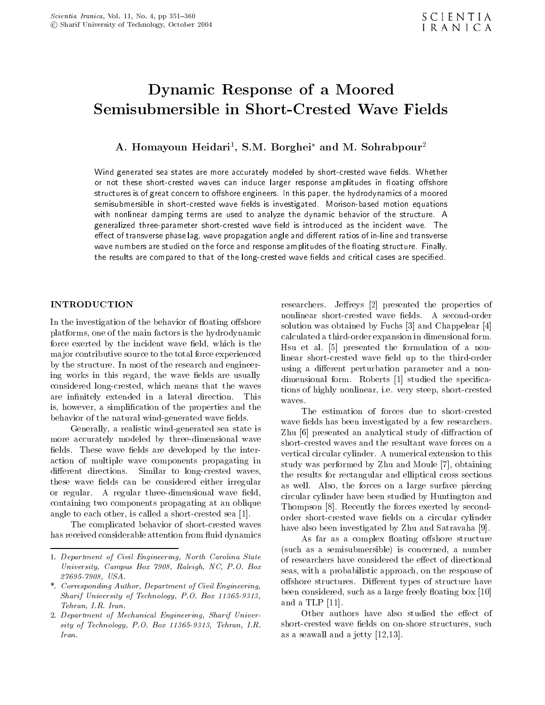# Dynamic Response of <sup>a</sup> Moored Semisubmersible in Short-Crested Wave Fields

A. Homayoun Heidari , S.M. Borghei and M. Sonrabpour<sup>-</sup>

Wind generated sea states are more accurately modeled by short-crested wave fields. Whether or not these short-crested waves can induce larger response amplitudes in floating offshore structures is of great concern to offshore engineers. In this paper, the hydrodynamics of a moored semisubmersible in short-crested wave fields is investigated. Morison-based motion equations with nonlinear damping terms are used to analyze the dynamic behavior of the structure. <sup>A</sup> generalized three-parameter short-crested wave field is introduced as the incident wave. The effect of transverse phase lag, wave propagation angle and different ratios of in-line and transverse wave numbers are studied on the force and response amplitudes of the floating structure. Finally, the results are compared to that of the long-crested wave fields and critical cases are specified.

#### INTRODUCTION

In the investigation of the behavior of floating offshore platforms, one of the main factors is the hydrodynamic force exerted by the incident wave field, which is the major contributive source to the total force experienced by the structure. In most of the research and engineering works in this regard, the wave fields are usually considered long-crested, which means that the waves are infinitely extended in a lateral direction. This  $\frac{1}{\text{waves}}$ is, however, a simplication of the properties and the behavior of the natural wind-generated wave fields.

Generally, a realistic wind-generated sea state is more accurately modeled by three-dimensional wave fields. These wave fields are developed by the interaction of multiple wave components propagating in different directions. Similar to long-crested waves, these wave fields can be considered either irregular or regular. A regular three-dimensional wave field, containing two components propagating at an oblique angle to each other, is called a short-crested sea [1].

The complicated behavior of short-crested waves has received considerable attention from fluid dynamics researchers. Jeffreys [2] presented the properties of nonlinear short-crested wave fields. A second-order solution was obtained by Fuchs [3] and Chappelear [4] calculated a third-order expansion in dimensional form. Hsu et al. [5] presented the formulation of <sup>a</sup> nonlinear short-crested wave field up to the third-order using a different perturbation parameter and a nondimensional form. Roberts [1] studied the specifications of highly nonlinear, i.e. very steep, short-crested

The estimation of forces due to short-crested wave fields has been investigated by a few researchers. Zhu [6] presented an analytical study of diffraction of short-crested waves and the resultant wave forces on a vertical circular cylinder. A numerical extension to this study was performed by Zhu and Moule [7], obtaining the results for rectangular and elliptical cross sections as well. Also, the forces on <sup>a</sup> large surface piercing circular cylinder have been studied by Huntington and Thompson [8]. Recently the forces exerted by secondorder short-crested wave fields on a circular cylinder have also been investigated by Zhu and Satravaha [9].

As far as a complex floating offshore structure (such as <sup>a</sup> semisubmersible) is concerned, <sup>a</sup> number of researchers have considered the effect of directional seas, with a probabilistic approach, on the response of offshore structures. Different types of structure have been considered, such as a large freely floating box [10] and a TLP [11].

Other authors have also studied the effect of short-crested wave fields on on-shore structures, such as a seawall and a jetty [12,13].

<sup>1.</sup> Department of Civil Engineering, North Carolina State University, Campus Box 7908, Raleigh, NC, P.O. Box 27695-7908, USA.

<sup>\*.</sup> Corresponding Author, Department of Civil Engineering, Sharif University of Technology, P.O. Box 11365-9313, Tehran, I.R. Iran.

<sup>2.</sup> Department of Mechanical Engineering, Sharif University of Technology, P.O. Box 11365-9313, Tehran, I.R. Iran.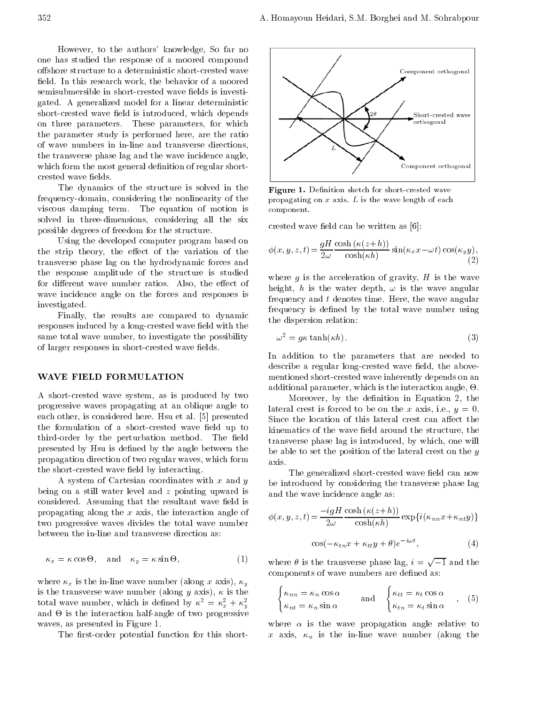However, to the authors' knowledge, So far no one has studied the response of <sup>a</sup> moored compound offshore structure to a deterministic short-crested wave field. In this research work, the behavior of a moored semisubmersible in short-crested wave fields is investigated. <sup>A</sup> generalized model for a linear deterministic short-crested wave field is introduced, which depends on three parameters. These parameters, for which the parameter study is performed here, are the ratio of wave numbers in in-line and transverse directions, the transverse phase lag and the wave incidence angle, which form the most general definition of regular shortcrested wave fields.

The dynamics of the structure is solved in the frequency-domain, considering the nonlinearity of the viscous damping term. The equation of motion is solved in three-dimensions, considering all the six possible degrees of freedom for the structure.

Using the developed computer program based on the strip theory, the effect of the variation of the transverse phase lag on the hydrodynamic forces and the response amplitude of the structure is studied for different wave number ratios. Also, the effect of wave incidence angle on the forces and responses is investigated.

Finally, the results are compared to dynamic responses induced by a long-crested wave field with the same total wave number, to investigate the possibility of larger responses in short-crested wave fields.

## WAVE FIELD FORMULATION

<sup>A</sup> short-crested wave system, as is produced by two progressive waves propagating at an oblique angle to each other, is considered here. Hsu et al. [5] presented the formulation of a short-crested wave field up to third-order by the perturbation method. The field presented by Hsu is defined by the angle between the propagation direction of two regular waves, which form the short-crested wave field by interacting.

A system of Cartesian coordinates with  $x$  and  $y$ being on <sup>a</sup> still water level and <sup>z</sup> pointing upward is considered. Assuming that the resultant wave field is propagating along the <sup>x</sup> axis, the interaction angle of two progressive waves divides the total wave number between the in-line and transverse direction as:

$$
\kappa_x = \kappa \cos \Theta, \quad \text{and} \quad \kappa_y = \kappa \sin \Theta,\tag{1}
$$

where  $\kappa_x$  is the in-line wave number (along x axis),  $\kappa_y$ is the transverse wave number (along y axis),  $\kappa$  is the total wave number, which is defined by  $\kappa^2 = \kappa_x^2 + \kappa_y^2$  $\sigma$  y and  $\sigma$ and - is the interaction half-angle of two progressive of two progressive of two progressive of two progressive waves, as presented in Figure 1.

The first-order potential function for this short-



Figure 1. Denition sketch for short-crested wave propagating on  $x$  axis.  $L$  is the wave length of each component.

crested wave field can be written as  $[6]$ :

$$
\phi(x, y, z, t) = \frac{gH}{2\omega} \frac{\cosh(\kappa(z+h))}{\cosh(\kappa h)} \sin(\kappa_x x - \omega t) \cos(\kappa_y y),\tag{2}
$$

where  $g$  is the acceleration of gravity,  $H$  is the wave height, h is the water depth,  $\omega$  is the wave angular frequency and  $t$  denotes time. Here, the wave angular frequency is defined by the total wave number using the dispersion relation:

$$
\omega^2 = g\kappa \tanh(\kappa h). \tag{3}
$$

In addition to the parameters that are needed to describe a regular long-crested wave field, the abovementioned short-crested wave inherently depends on an additional parameter, which is the interaction angle,  $\Theta$ .

Moreover, by the definition in Equation 2, the lateral crest is forced to be on the x axis, i.e.,  $y = 0$ . Since the location of this lateral crest can affect the kinematics of the wave field around the structure, the transverse phase lag is introduced, by which, one will be able to set the position of the lateral crest on the  $y$ axis.

The generalized short-crested wave field can now be introduced by considering the transverse phase lag and the wave incidence angle as:

$$
\phi(x, y, z, t) = \frac{i g H}{2\omega} \frac{\cosh(\kappa(z+h))}{\cosh(\kappa h)} \exp\{i(\kappa_{nn}x + \kappa_{nt}y)\}
$$

$$
\cos(-\kappa_{tn}x + \kappa_{tt}y + \theta)e^{-i\omega t}, \qquad (4)
$$

where  $\theta$  is the transverse phase lag,  $i = \sqrt{1}$  and the components of wave numbers are defined as:

$$
\begin{cases} \kappa_{nn} = \kappa_n \cos \alpha \\ \kappa_{nt} = \kappa_n \sin \alpha \end{cases} \text{ and } \begin{cases} \kappa_{tt} = \kappa_t \cos \alpha \\ \kappa_{tn} = \kappa_t \sin \alpha \end{cases}, (5)
$$

where  $\alpha$  is the wave propagation angle relative to  $x \mapsto \alpha$  is the in-line wave number of  $\alpha$  in-line  $\alpha$  in  $\alpha$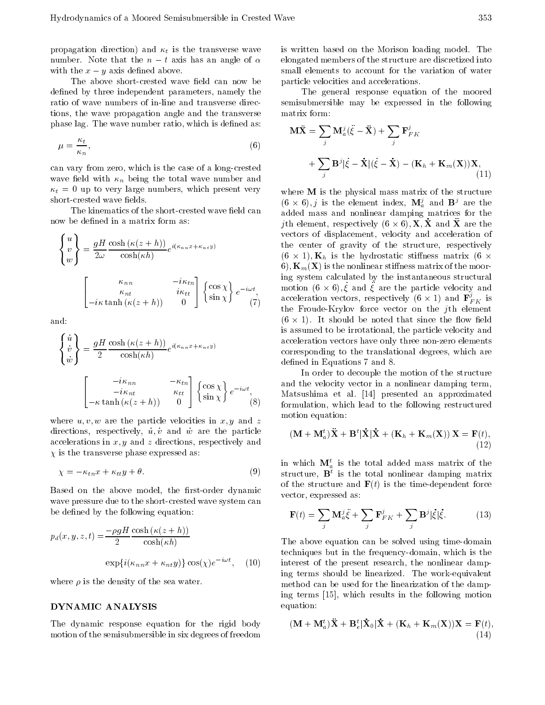propagation direction) and  $\kappa_t$  is the transverse wave number. Note that the n t axis has an angle of  $\alpha$ with the  $x - y$  axis defined above.

The above short-crested wave field can now be defined by three independent parameters, namely the ratio of wave numbers of in-line and transverse directions, the wave propagation angle and the transverse phase lag. The wave number ratio, which is defined as:

$$
\mu = \frac{\kappa_t}{\kappa_n},\tag{6}
$$

can vary from zero, which is the case of a long-crested wave field with  $\kappa_n$  being the total wave number and  $\kappa_t = 0$  up to very large numbers, which present very short-crested wave fields.

The kinematics of the short-crested wave field can now be defined in a matrix form as:

$$
\begin{cases}\nu \\ v \\ w \end{cases} = \frac{gH}{2\omega} \frac{\cosh(\kappa(z+h))}{\cosh(\kappa h)} e^{i(\kappa_{nn}x + \kappa_{nt}y)} \qquad \qquad \text{if } \\ \begin{array}{c}\n\kappa_{nn} & i\kappa_{tn} \\
\kappa_{nt} & i\kappa_{tt} \\
i\kappa \tanh(\kappa(z+h)) & 0\n\end{array} \begin{cases}\n\cos\chi \\
\sin\chi\n\end{cases} e^{-i\omega t}, \qquad \text{if } \\ \begin{array}{c}\n\iota \\
\sin\chi\n\end{array}
$$

and:

$$
\begin{cases}\n\dot{u} \\
\dot{v} \\
\dot{w}\n\end{cases} = \frac{gH}{2} \frac{\cosh(\kappa(z+h))}{\cosh(\kappa h)} e^{i(\kappa_{nn}x + \kappa_{nt}y)} \quad \text{a}
$$
\n
$$
\begin{bmatrix}\n\frac{i\kappa_{nn}}{i\kappa_{nt}} & \frac{\kappa_{tn}}{\kappa_{tt}} \\
\frac{i\kappa_{nt}}{\kappa \tanh(\kappa(z+h))} & 0\n\end{bmatrix} \begin{cases}\n\cos \chi \\
\sin \chi\n\end{cases} e^{-i\omega t}, \quad \text{a}
$$
\n
$$
\begin{bmatrix}\n\frac{i\kappa_{nn}}{i\kappa(t)} & \frac{\kappa_{tn}}{i\kappa(t)} \\
\frac{\kappa_{nt}}{i\kappa(t)} & 0\n\end{bmatrix} \begin{cases}\n\cos \chi \\
\frac{\kappa_{nt}}{i\kappa(t)} & \frac{\kappa_{nt}}{i\kappa(t)}\n\end{cases}
$$

where  $u, v, w$  are the particle velocities in  $x, y$  and z directions, respectively,  $\dot{u}, \dot{v}$  and  $\dot{w}$  are the particle accelerations in  $x, y$  and z directions, respectively and  $\pi$  is the transverse phase expressed as:

$$
\chi = \kappa_{tn} x + \kappa_{tt} y + \theta. \tag{9}
$$

Based on the above model, the first-order dynamic wave pressure due to the short-crested wave system can be defined by the following equation:

$$
p_d(x, y, z, t) = \frac{\rho g H \cosh(\kappa(z + h))}{2} \cosh(\kappa h)
$$

$$
\exp\{i(\kappa_{nn}x + \kappa_{nt}y)\} \cos(\chi)e^{-i\omega t}, \quad (10)
$$

where  $\rho$  is the density of the sea water.

#### DYNAMIC ANALYSIS

The dynamic response equation for the rigid body motion of the semisubmersible in six degrees of freedom

is written based on the Morison loading model. The elongated members of the structure are discretized into small elements to account for the variation of water particle velocities and accelerations.

The general response equation of the moored semisubmersible may be expressed in the following matrix form:

$$
\mathbf{M}\ddot{\mathbf{X}} = \sum_{j} \mathbf{M}_{a}^{j}(\ddot{\xi} - \ddot{\mathbf{X}}) + \sum_{j} \mathbf{F}_{FK}^{j}
$$

$$
+ \sum_{j} \mathbf{B}^{j}|\dot{\xi} - \dot{\mathbf{X}}|(\dot{\xi} - \dot{\mathbf{X}}) - (\mathbf{K}_{h} + \mathbf{K}_{m}(\mathbf{X}))\mathbf{X}, \tag{11}
$$

 $\langle \cdot \rangle$  the Froude-Krylov force vector on the *j*th element where **M** is the physical mass matrix of the structure  $(0 \times 0), j$  is the element index,  $M_a^a$  and  $D^a$  are the -added mass and nonlinear damping matrices for the  $\mu$  and  $\mathbf{\hat{x}}$  and  $\mathbf{\hat{x}}$  are the -vectors of displacement, velocity and acceleration of the center of gravity of the structure, respectively  $(6 \t\times 1)$ ;  $\mathbb{Z}_h$  is the hydrostatic stimulate matrix (6  $\cdot$ b),  $\mathbf{K}_{m}(\mathbf{X})$  is the nonlinear stiffness matrix of the mooring system calculated by the instantaneous structural  $m$ <sub>0</sub>  $\sim$  0), $\zeta$  and  $\zeta$  are the particle velocity and acceleration vectors, respectively (6  $\times$  1) and  $\mathbf{F}_{FK}^{*}$  is  $\mathbf{A}$ . It should be noted that since that since the non-ted that since the since that since the since the since the since the since the since the since the since the since the since the since the since the since the si -is assumed to be irrotational, the particle velocity and acceleration vectors have only three non-zero elements corresponding to the translational degrees, which are defined in Equations 7 and 8.

> In order to decouple the motion of the structure and the velocity vector in <sup>a</sup> nonlinear damping term, Matsushima et al. [14] presented an approximated formulation, which lead to the following restructured motion equation:

$$
(\mathbf{M} + \mathbf{M}_a^t)\ddot{\mathbf{X}} + \mathbf{B}^t|\dot{\mathbf{X}}|\dot{\mathbf{X}} + (\mathbf{K}_h + \mathbf{K}_m(\mathbf{X}))\mathbf{X} = \mathbf{F}(t),
$$
\n(12)

in which  $\mathbf{M}_{a}^{t}$  is the total added mass matrix of the structure, **B** is the total nonlinear damping matrix of the structure and  $F(t)$  is the time-dependent force vector, expressed as:

$$
\mathbf{F}(t) = \sum_{j} \mathbf{M}_{a}^{j} \ddot{\xi} + \sum_{j} \mathbf{F}_{FK}^{j} + \sum_{j} \mathbf{B}^{j} |\dot{\xi}| \dot{\xi}.
$$
 (13)

 (10) interest of the present research, the nonlinear damp-The above equation can be solved using time-domain techniques but in the frequency-domain, which is the ing terms should be linearized. The work-equivalent method can be used for the linearization of the damping terms [15], which results in the following motion equation:

$$
(\mathbf{M} + \mathbf{M}_a^t)\ddot{\mathbf{X}} + \mathbf{B}_e^t|\dot{\mathbf{X}}_0|\dot{\mathbf{X}} + (\mathbf{K}_h + \mathbf{K}_m(\mathbf{X}))\mathbf{X} = \mathbf{F}(t),
$$
\n(14)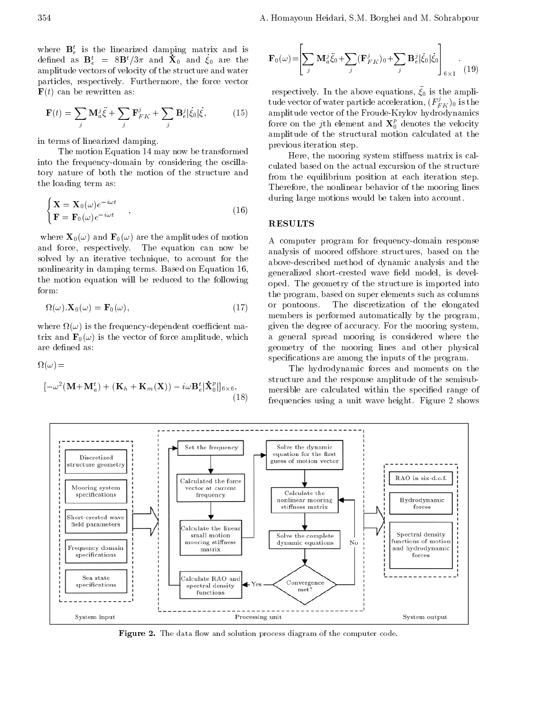$\overline{\phantom{a}}$  2  $\overline{\phantom{a}}$  2  $\overline{\phantom{a}}$  2  $\overline{\phantom{a}}$  2  $\overline{\phantom{a}}$  2  $\overline{\phantom{a}}$  2  $\overline{\phantom{a}}$  2  $\overline{\phantom{a}}$  2  $\overline{\phantom{a}}$  2  $\overline{\phantom{a}}$  2  $\overline{\phantom{a}}$  2  $\overline{\phantom{a}}$  2  $\overline{\phantom{a}}$  2  $\overline{\phantom{a}}$  2  $\overline{\phantom{a}}$  2  $\overline{\phantom{a}}$ 

where  $\mathbf{B}_{e}^{t}$  is the linearized damping matrix and is defined as  $\mathbf{D}_e^+$  =  $\circ \mathbf{D}^+$ / $\circ \pi$  and  $\mathbf{X}_0$  and  $\zeta_0$  are the Fig. amplitude vectors of velocity of the structure and water particles, respectively. Furthermore, the force vector  $\mathbf{F}(t)$  can be rewritten as:

$$
\mathbf{F}(t) = \sum_{j} \mathbf{M}_{a}^{j} \ddot{\xi} + \sum_{j} \mathbf{F}_{FK}^{j} + \sum_{j} \mathbf{B}_{e}^{j} |\dot{\xi}_{0}| \dot{\xi}, \qquad (15)
$$

in terms of linearized damping.

The motion Equation 14 may now be transformed into the frequency-domain by considering the oscillatory nature of both the motion of the structure and the loading term as:

$$
\begin{cases}\n\mathbf{X} = \mathbf{X}_0(\omega)e^{-i\omega t} \\
\mathbf{F} = \mathbf{F}_0(\omega)e^{-i\omega t}\n\end{cases}
$$
\n(16)

where  $\mathbf{X}_0(\omega)$  and  $\mathbf{F}_0(\omega)$  are the amplitudes of motion and force, respectively. The equation can now be solved by an iterative technique, to account for the nonlinearity in damping terms. Based on Equation 16, the motion equation will be reduced to the following form:

$$
\Omega(\omega).\mathbf{X}_0(\omega) = \mathbf{F}_0(\omega),\tag{17}
$$

 $\cdots$  is the frequency-dependent coefficient mass trix and  $\mathbf{F}_0(\omega)$  is the vector of force amplitude, which are defined as:

 $\blacksquare$ 

$$
\begin{bmatrix} \omega^2 (\mathbf{M} + \mathbf{M}_a^t) + (\mathbf{K}_h + \mathbf{K}_m(\mathbf{X})) & i\omega \mathbf{B}_e^t \vert \dot{\mathbf{X}}_0^p \vert_{6 \times 6}, & \mathbf{m} \\ (18) & \mathbf{f} \end{bmatrix}
$$

$$
\mathbf{F}_0(\omega) = \left[ \sum_j \mathbf{M}_a^j \ddot{\xi}_0 + \sum_j (\mathbf{F}_{FK}^j)_0 + \sum_j \mathbf{B}_e^j |\dot{\xi}_0| \dot{\xi}_0 \right]_{6 \times 1} .
$$
 (19)

 (15) amplitude vector of the Froude-Krylov hydrodynamics respectively. In the above equations, 0 is the amplitude vector of water particle acceleration,  $({F}_{FK}^{\ast})_0$  is the force on the  $\jmath$  th element and  $\boldsymbol{\mathrm{X}}_0^{\boldsymbol{\mathrm{c}}}$  denotes the velocity amplitude of the structural motion calculated at the previous iteration step.

> Here, the mooring system stiffness matrix is calculated based on the actual excursion of the structure from the equilibrium position at each iteration step. Therefore, the nonlinear behavior of the mooring lines during large motions would be taken into account.

#### RESULTS

<sup>A</sup> computer program for frequency-domain response analysis of moored offshore structures, based on the above-described method of dynamic analysis and the generalized short-crested wave field model, is developed. The geometry of the structure is imported into the program, based on super elements such as columns or pontoons. The discretization of the elongated members is performed automatically by the program, given the degree of accuracy. For the mooring system, <sup>a</sup> general spread mooring is considered where the geometry of the mooring lines and other physical specifications are among the inputs of the program.

The hydrodynamic forces and moments on the structure and the response amplitude of the semisubmersible are calculated within the specied range of frequencies using <sup>a</sup> unit wave height. Figure 2 shows



Figure 2. The data 
ow and solution process diagram of the computer code.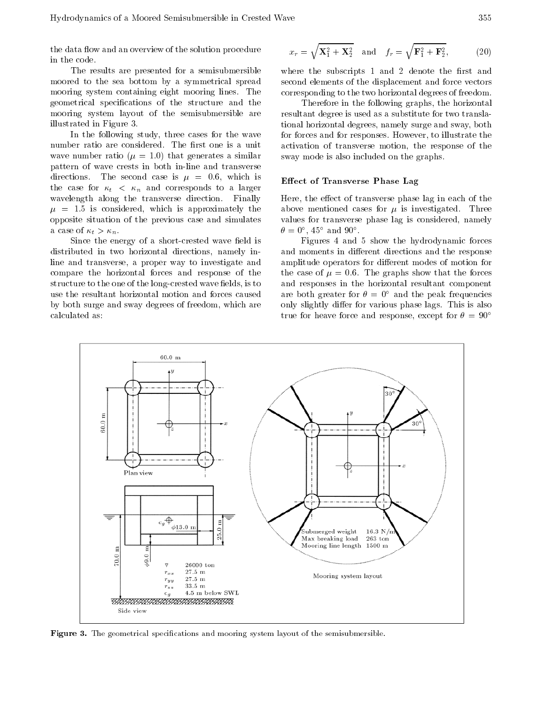the data flow and an overview of the solution procedure in the code.

The results are presented for <sup>a</sup> semisubmersible moored to the sea bottom by <sup>a</sup> symmetrical spread mooring system containing eight mooring lines. The geometrical specications of the structure and the mooring system layout of the semisubmersible are illustrated in Figure 3.

In the following study, three cases for the wave number ratio are considered. The first one is a unit wave number ratio ( $\mu = 1.0$ ) that generates a similar pattern of wave crests in both in-line and transverse directions. The second case is  $\mu = 0.6$ , which is the case for  $\kappa_t$  <  $\kappa_n$  and corresponds to a larger wavelength along the transverse direction. Finally <sup>=</sup> 1:5 is considered, which is approximately the opposite situation of the previous case and simulates a case of  $\kappa_t > \kappa_n$ .

Since the energy of a short-crested wave field is distributed in two horizontal directions, namely inline and transverse, <sup>a</sup> proper way to investigate and compare the horizontal forces and response of the structure to the one of the long-crested wave fields, is to use the resultant horizontal motion and forces caused by both surge and sway degrees of freedom, which are calculated as:

$$
x_r = \sqrt{\mathbf{X}_1^2 + \mathbf{X}_2^2} \quad \text{and} \quad f_r = \sqrt{\mathbf{F}_1^2 + \mathbf{F}_2^2},\tag{20}
$$

where the subscripts  $1$  and  $2$  denote the first and second elements of the displacement and force vectors corresponding to the two horizontal degrees of freedom.

Therefore in the following graphs, the horizontal resultant degree is used as a substitute for two translational horizontal degrees, namely surge and sway, both for forces and for responses. However, to illustrate the activation of transverse motion, the response of the sway mode is also included on the graphs.

## Effect of Transverse Phase Lag

Here, the effect of transverse phase lag in each of the above mentioned cases for  $\mu$  is investigated. Three values for transverse phase lag is considered, namely  $\sigma = 0$ , 45 and 90.

Figures <sup>4</sup> and <sup>5</sup> show the hydrodynamic forces and moments in different directions and the response amplitude operators for different modes of motion for the case of  $\mu = 0.6$ . The graphs show that the forces and responses in the horizontal resultant component are both greater for  $\theta = 0^{\circ}$  and the peak frequencies only slightly differ for various phase lags. This is also true for heave force and response, except for  $\theta = 90^{\circ}$ 



Figure 3. The geometrical specications and mooring system layout of the semisubmersible.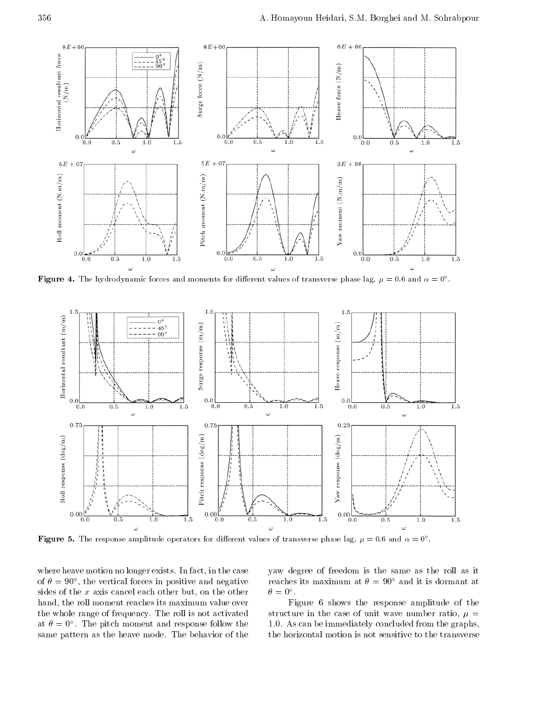

**Figure 4.** The hydrodynamic forces and moments for different values of transverse phase lag,  $\mu = 0.6$  and  $\alpha = 0$  .



**Figure 5.** The response amplitude operators for different values of transverse phase lag,  $\mu = 0.6$  and  $\alpha = 0$  .

where heave motion no longer exists. In fact, in the case of  $\sigma = 90$ , the vertical forces in positive and negative  $-$  rea sides of the  $x$  axis cancel each other but, on the other hand, the roll moment reaches its maximum value over the whole range of frequency. The roll is not activated at  $\sigma = 0$  . The pitch moment and response follow the  $\qquad$  i.t same pattern as the heave mode. The behavior of the

yaw degree of freedom is the same as the roll as it reaches its maximum at  $\theta = 90^{\circ}$  and it is dormant at  $\sigma = \sigma$ .

Figure <sup>6</sup> shows the response amplitude of the structure in the case of unit wave number ratio,  $\mu =$ 1:0. As can be immediately concluded from the graphs, the horizontal motion is not sensitive to the transverse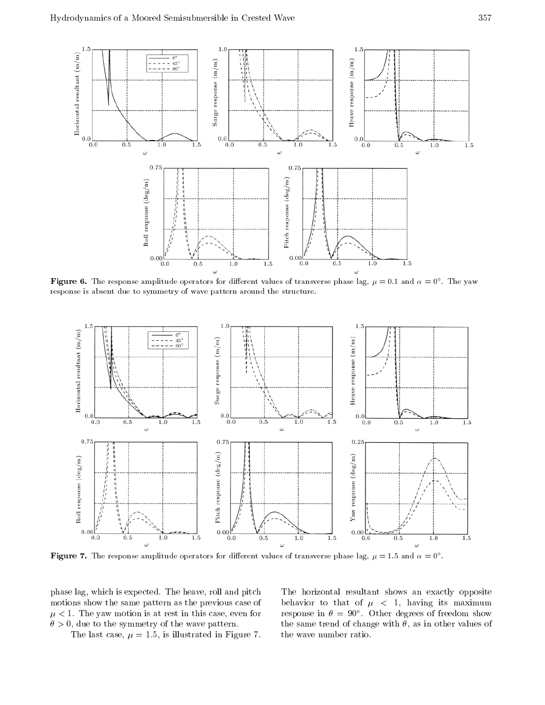

**Figure 0.** The response amplitude operators for different values of transverse phase lag,  $\mu=$  0.1 and  $\alpha=$  0°. The yaw response is absent due to symmetry of wave pattern around the structure.



**Figure** 7. The response amplitude operators for different values of transverse phase lag,  $\mu = 1.5$  and  $\alpha = 0$  .

phase lag, which is expected. The heave, roll and pitch motions show the same pattern as the previous case of  $\mu \sim 1$ . The yaw motion is at rest in this case, even for  $\mu$  $\sigma > 0$ , due to the symmetry of the wave pattern.

The last case,  $\mu = 1.5$ , is illustrated in Figure 7.

The horizontal resultant shows an exactly opposite behavior to that of  $\mu$  < 1, having its maximum response in  $\sigma = 90$ . Other degrees of freedom show the same trend of change with  $\theta$ , as in other values of the wave number ratio.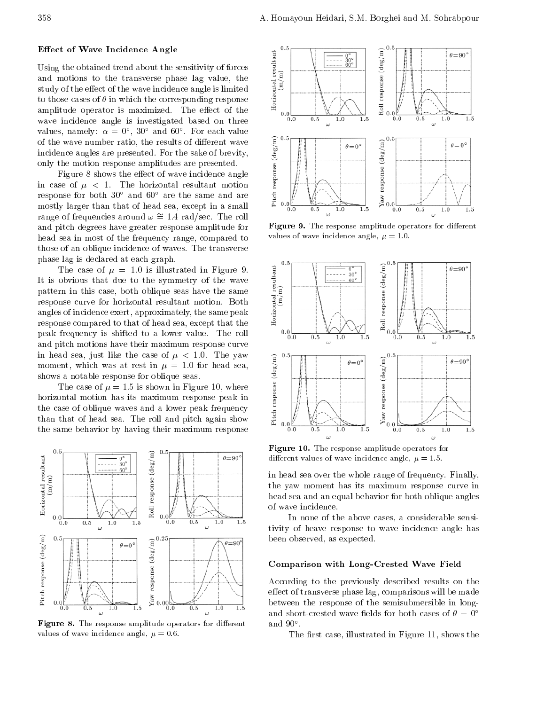## Effect of Wave Incidence Angle

Effect of wave incidence Angle<br>Using the obtained trend about the sensitivity of forces<br>and motions to the transverse phase lag value, the<br>study of the effect of the wave incidence angle is limited<br>to those cases of  $\theta$  and motions to the transverse phase lag value, the study of the effect of the wave incidence angle is limited to those cases of  $\theta$  in which the corresponding response amplitude operator is maximized. The effect of the  $\begin{array}{c} \pi \leftarrow 0.0 \mid \frac{1}{100} \end{array}$ wave incidence angle is investigated based on three values, namely:  $\alpha = 0$  ,  $30$  and  $60$  . For each value incidence angles are presented. For the sake of brevity, only the motion response amplitudes are presented.

of the wave number ratio, the results of different wave<br>incidence angles are presented. For the sake of brevity,<br>only the motion response amplitudes are presented.<br>Figure 8 shows the effect of wave incidence angle<br>in case Figure 8 shows the effect of wave incidence angle in case of  $\mu$  < 1. The horizontal resultant motion response for both  $30^{\circ}$  and  $60^{\circ}$  are the same and are mostly larger than that of head sea, except in a small range of frequencies around  $\omega \approx 1.4$  rad/sec. The roll and pitch degrees have greater response amplitude for head sea in most of the frequency range, compared to those of an oblique incidence of waves. The transverse phase lag is declared at each graph.

The case of  $\mu = 1.0$  is illustrated in Figure 9. The case of  $\mu = 1.0$  is illustrated in Figure 9.<br>It is obvious that due to the symmetry of the wave<br>pattern in this case, both oblique seas have the same<br>response curve for horizontal resultant motion. Both<br>angles of inc pattern in this case, both oblique seas have the same  $\begin{bmatrix} 2 \ 2 \ 3 \end{bmatrix}$ <br>response curve for horizontal resultant motion. Both response curve for horizontal resultant motion. Both angles of incidence exert, approximately, the same peak response compared to that of head sea, except that the peak frequency is shifted to <sup>a</sup> lower value. The roll and pitch motions have their maximum response curve moment, which was at rest in  $\mu = 1.0$  for head sea, shows a notable response for oblique seas.

in head sea, just like the case of  $\mu < 1.0$ . The yaw<br>moment, which was at rest in  $\mu = 1.0$  for head sea,<br>shows a notable response for oblique seas.<br>The case of  $\mu = 1.5$  is shown in Figure 10, where<br>horizontal motion ha The case of  $\mu = 1.5$  is shown in Figure 10, where horizontal motion has its maximum response peak in the case of oblique waves and a lower peak frequency than that of head sea. The roll and pitch again show  $\frac{3}{2}$  <sub>0.0</sub> the same behavior by having their maximum response



**Figure 8.** The response amplitude operators for different  $\qquad$ values of wave incidence angle,  $\mu = 0.6$ .



Figure 9. The response amplitude operators for dierent values of wave incidence angle,  $\mu = 1.0$ .



Figure 10. The response amplitude operators for different values of wave incidence angle,  $\mu = 1.5$ .

in head sea over the whole range of frequency. Finally, the yaw moment has its maximum response curve in head sea and an equal behavior for both oblique angles of wave incidence.

In none of the above cases, a considerable sensitivity of heave response to wave incidence angle has been observed, as expected.

#### Comparison with Long-Crested Wave Field

According to the previously described results on the effect of transverse phase lag, comparisons will be made between the response of the semisubmersible in longand short-crested wave fields for both cases of  $\theta = 0^{\circ}$ and  $90^\circ$ .

The first case, illustrated in Figure 11, shows the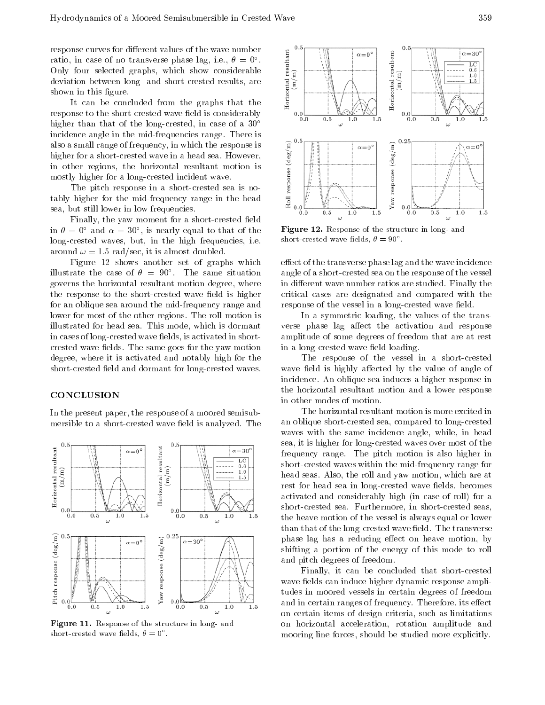response curves for different values of the wave number<br>ratio, in case of no transverse phase lag, i.e.,  $\theta = 0^{\circ}$ .<br>Only four selected graphs, which show considerable<br>deviation between long- and short-crested results, a ratio, in case of no transverse phase lag, i.e.,  $\theta = 0^{\circ}$ . Only four selected graphs, which show considerable deviation between long- and short-crested results, are shown in this figure.

It can be concluded from the graphs that the response to the short-crested wave field is considerably  $\begin{bmatrix} 0.0 \end{bmatrix}$   $\begin{bmatrix} 0.0 \end{bmatrix}$ higher than that of the long-crested, in case of a  $30^{\circ}$ incidence angle in the mid-frequencies range. There is also a small range of frequency, in which the response is<br>higher for a short-crested wave in a head sea. However,<br>in other regions, the horizontal resultant motion is<br>mostly higher for a long-crested incident wave.<br>The pi higher for a short-crested wave in a head sea. However, in other regions, the horizontal resultant motion is mostly higher for a long-crested incident wave.

The pitch response in <sup>a</sup> short-crested sea is notably higher for the mid-frequency range in the head  $\overline{\vec{z}}_{0.0}$   $\overline{\vec{z}}_{0.0}$ sea, but still lower in low frequencies.

Finally, the yaw moment for a short-crested field in  $\theta = 0$  and  $\alpha = 30$ , is nearly equal to that of the  $\Gamma$ long-crested waves, but, in the high frequencies, i.e. around  $\omega = 1.5$  rad/sec, it is almost doubled.

Figure <sup>12</sup> shows another set of graphs which  $\limsup$  in the case of  $\sigma = \delta 0$  . The same situation angle governs the horizontal resultant motion degree, where the response to the short-crested wave field is higher for an oblique sea around the mid-frequency range and lower for most of the other regions. The roll motion is illustrated for head sea. This mode, which is dormant in cases of long-crested wave fields, is activated in shortcrested wave fields. The same goes for the yaw motion degree, where it is activated and notably high for the short-crested field and dormant for long-crested waves.

## **CONCLUSION**

In the present paper, the response of a moored semisubmersible to a short-crested wave field is analyzed. The



Figure 11. Response of the structure in long- and  $\texttt{short-crested}$  wave fields,  $\theta = 0^\circ$  .



Figure 12. Response of the structure in long- and short-crested wave fields,  $\theta = 90^\circ$ .

effect of the transverse phase lag and the wave incidence angle of a short-crested sea on the response of the vessel in different wave number ratios are studied. Finally the critical cases are designated and compared with the response of the vessel in a long-crested wave field.

In <sup>a</sup> symmetric loading, the values of the transverse phase lag affect the activation and response amplitude of some degrees of freedom that are at rest in a long-crested wave field loading.

The response of the vessel in <sup>a</sup> short-crested wave field is highly affected by the value of angle of incidence. An oblique sea induces a higher response in the horizontal resultant motion and <sup>a</sup> lower response in other modes of motion.

The horizontal resultant motion is more excited in an oblique short-crested sea, compared to long-crested waves with the same incidence angle, while, in head sea, it is higher for long-crested waves over most of the frequency range. The pitch motion is also higher in short-crested waves within the mid-frequency range for head seas. Also, the roll and yaw motion, which are at rest for head sea in long-crested wave fields, becomes activated and considerably high (in case of roll) for a short-crested sea. Furthermore, in short-crested seas, the heave motion of the vessel is always equal or lower than that of the long-crested wave field. The transverse phase lag has a reducing effect on heave motion, by shifting <sup>a</sup> portion of the energy of this mode to roll and pitch degrees of freedom.

Finally, it can be concluded that short-crested wave fields can induce higher dynamic response amplitudes in moored vessels in certain degrees of freedom and in certain ranges of frequency. Therefore, its effect on certain items of design criteria, such as limitations on horizontal acceleration, rotation amplitude and mooring line forces, should be studied more explicitly.